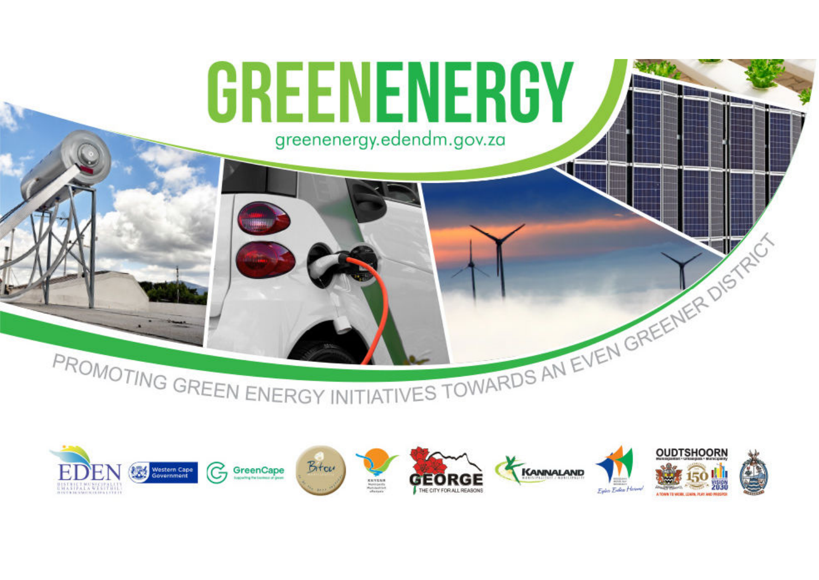

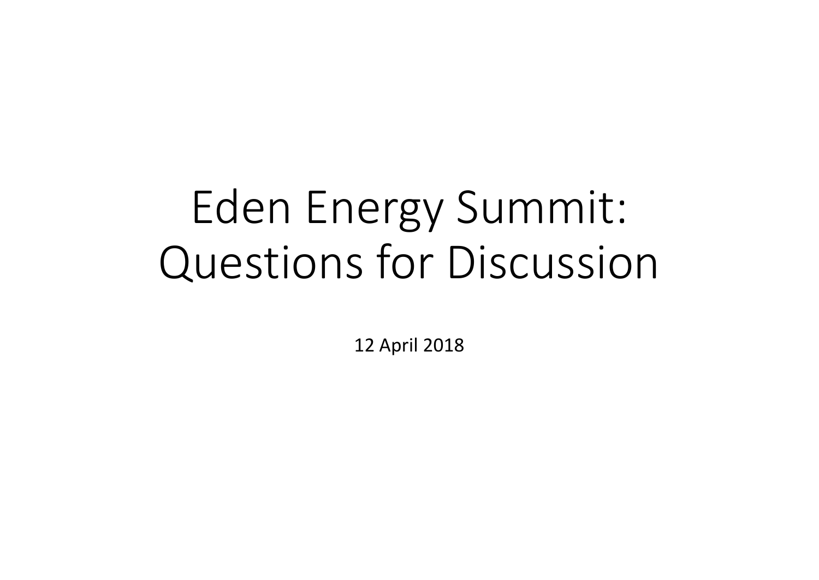# Eden Energy Summit:Questions for Discussion

12 April 2018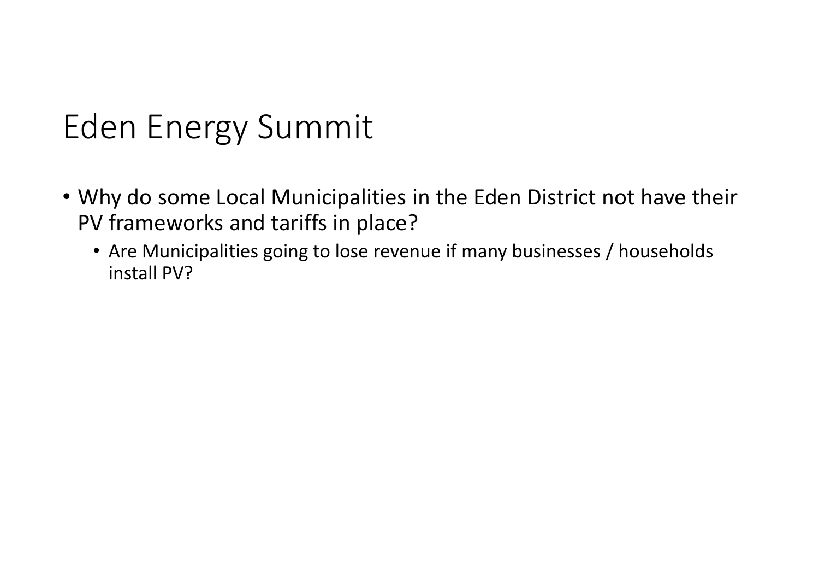- Why do some Local Municipalities in the Eden District not have their PV frameworks and tariffs in place?
	- Are Municipalities going to lose revenue if many businesses / households install PV?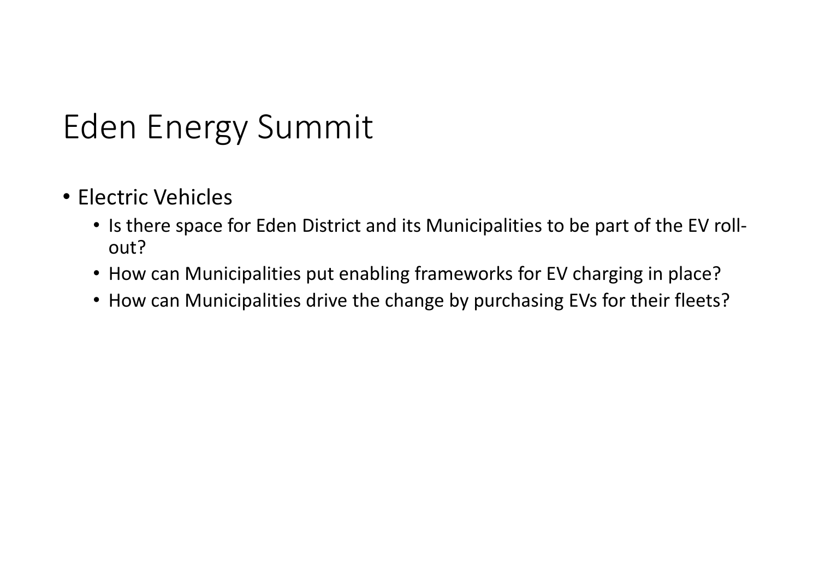- Electric Vehicles
	- Is there space for Eden District and its Municipalities to be part of the EV rollout?
	- How can Municipalities put enabling frameworks for EV charging in place?
	- How can Municipalities drive the change by purchasing EVs for their fleets?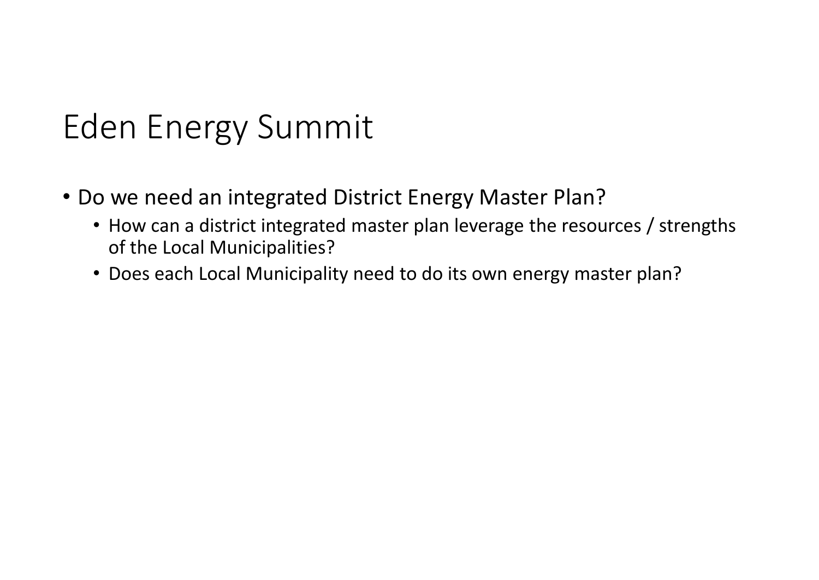- Do we need an integrated District Energy Master Plan?
	- How can a district integrated master plan leverage the resources / strengths of the Local Municipalities?
	- Does each Local Municipality need to do its own energy master plan?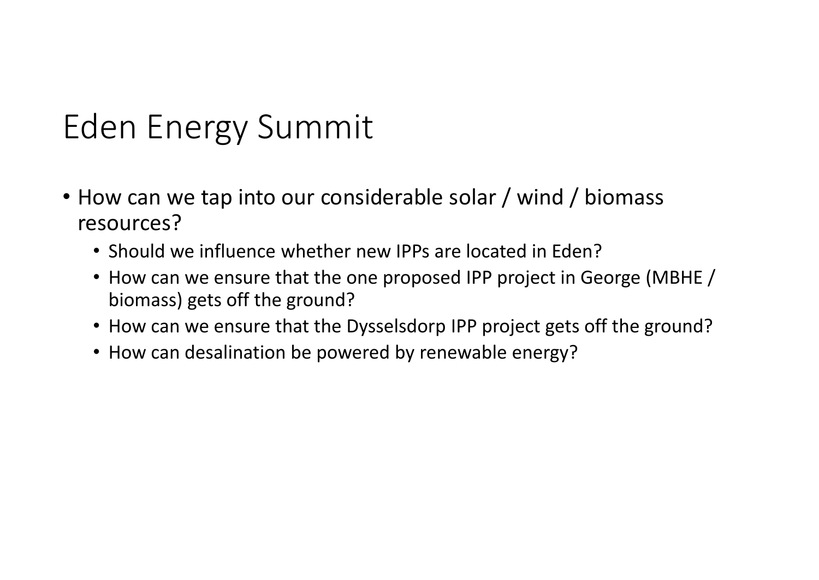- How can we tap into our considerable solar / wind / biomass resources?
	- Should we influence whether new IPPs are located in Eden?
	- How can we ensure that the one proposed IPP project in George (MBHE / biomass) gets off the ground?
	- How can we ensure that the Dysselsdorp IPP project gets off the ground?
	- How can desalination be powered by renewable energy?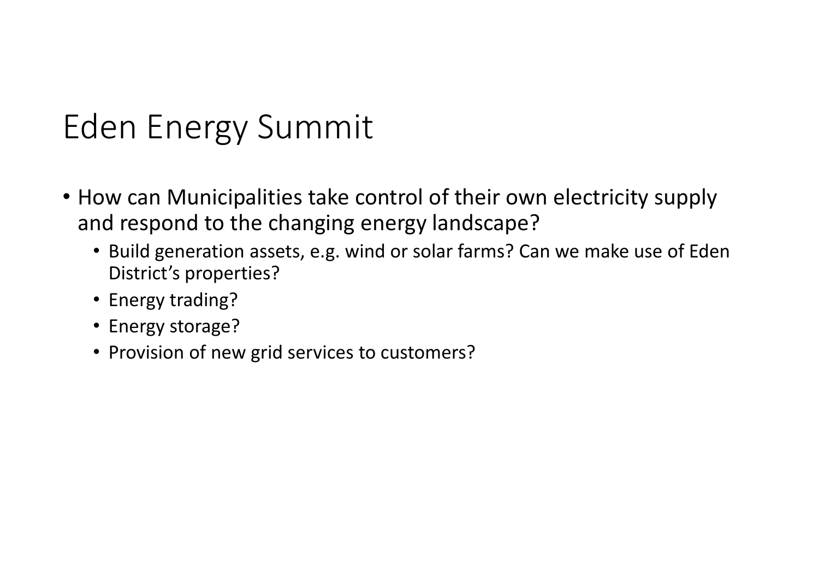- How can Municipalities take control of their own electricity supply and respond to the changing energy landscape?
	- Build generation assets, e.g. wind or solar farms? Can we make use of Eden District's properties?
	- Energy trading?
	- Energy storage?
	- Provision of new grid services to customers?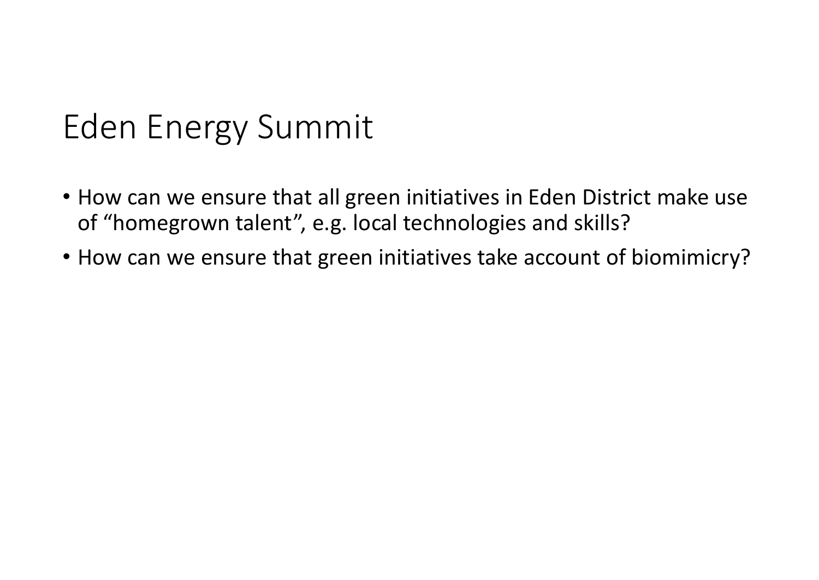- How can we ensure that all green initiatives in Eden District make use of "homegrown talent", e.g. local technologies and skills?
- How can we ensure that green initiatives take account of biomimicry?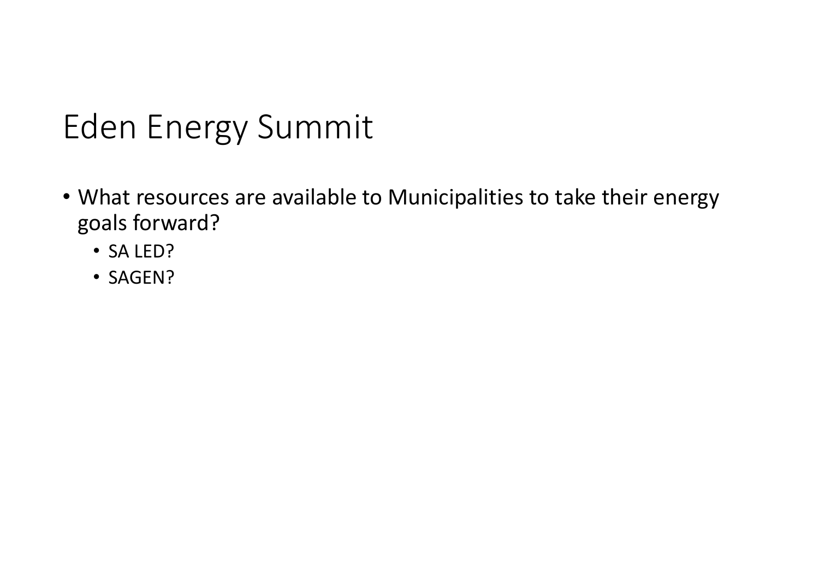- What resources are available to Municipalities to take their energy goals forward?
	- SA LED?
	- SAGEN?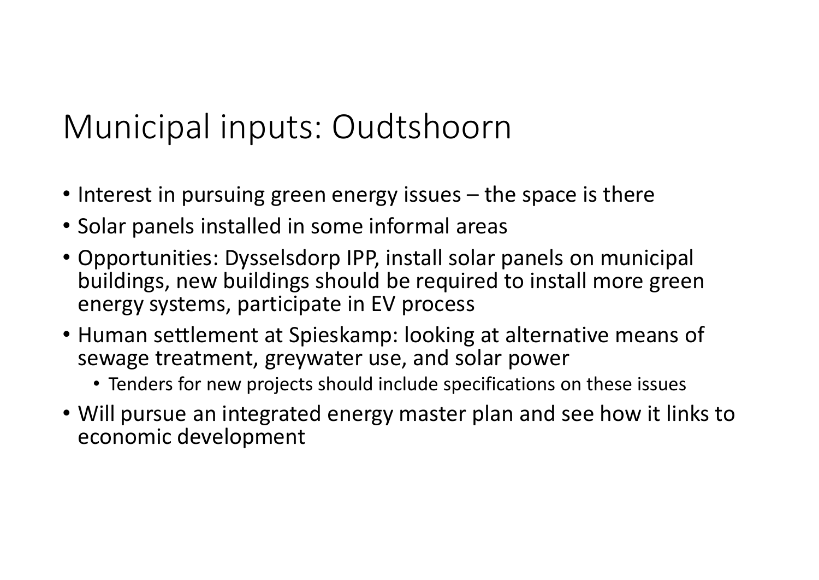## Municipal inputs: Oudtshoorn

- Interest in pursuing green energy issues the space is there
- Solar panels installed in some informal areas
- Opportunities: Dysselsdorp IPP, install solar panels on municipal buildings, new buildings should be required to install more green energy systems, participate in EV process
- Human settlement at Spieskamp: looking at alternative means of sewage treatment, greywater use, and solar power
	- Tenders for new projects should include specifications on these issues
- Will pursue an integrated energy master plan and see how it links to economic development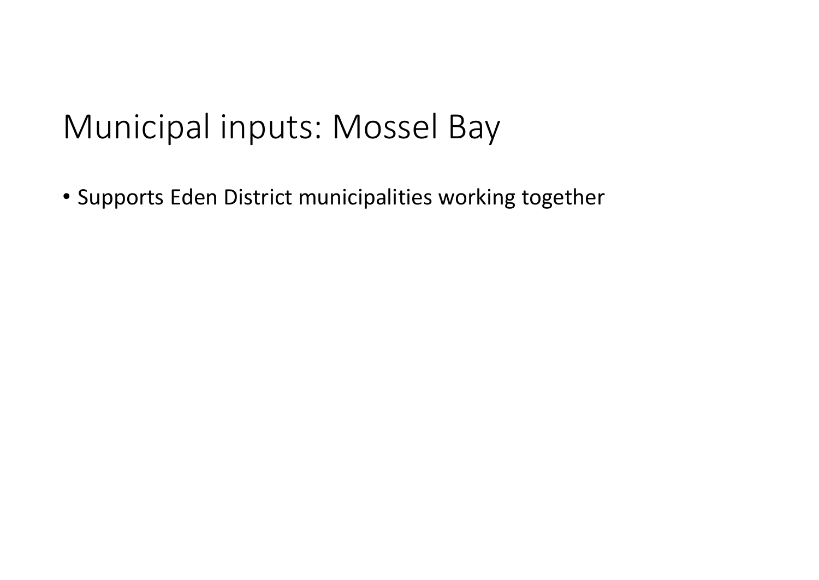#### Municipal inputs: Mossel Bay

• Supports Eden District municipalities working together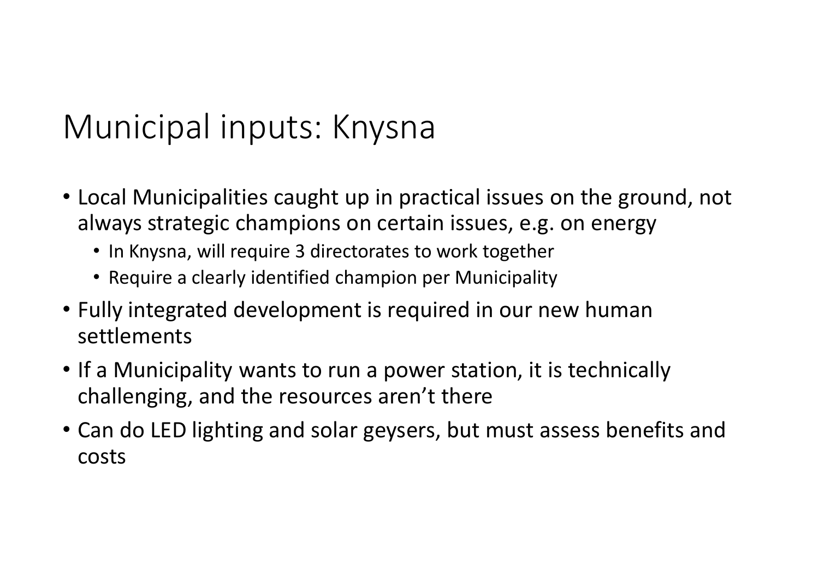## Municipal inputs: Knysna

- Local Municipalities caught up in practical issues on the ground, not always strategic champions on certain issues, e.g. on energy
	- In Knysna, will require 3 directorates to work together
	- Require a clearly identified champion per Municipality
- Fully integrated development is required in our new human settlements
- If a Municipality wants to run a power station, it is technically challenging, and the resources aren't there
- Can do LED lighting and solar geysers, but must assess benefits and costs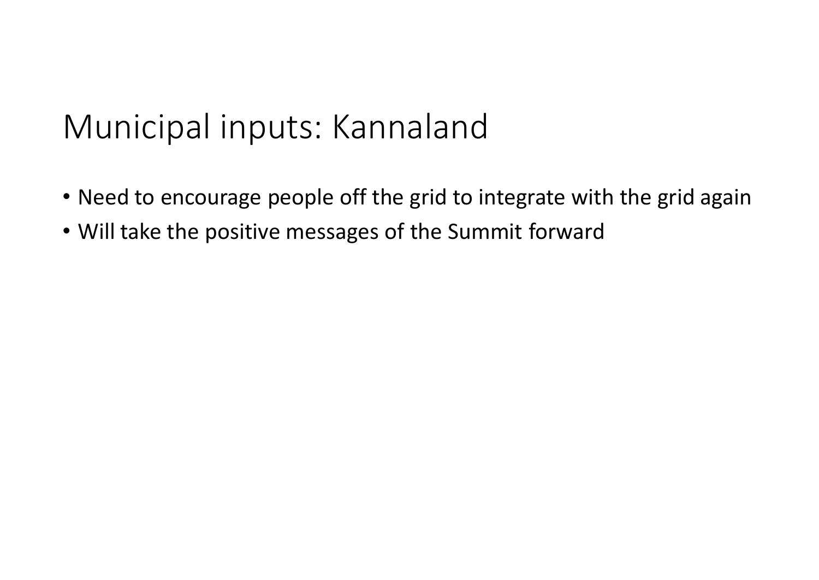#### Municipal inputs: Kannaland

- Need to encourage people off the grid to integrate with the grid again
- Will take the positive messages of the Summit forward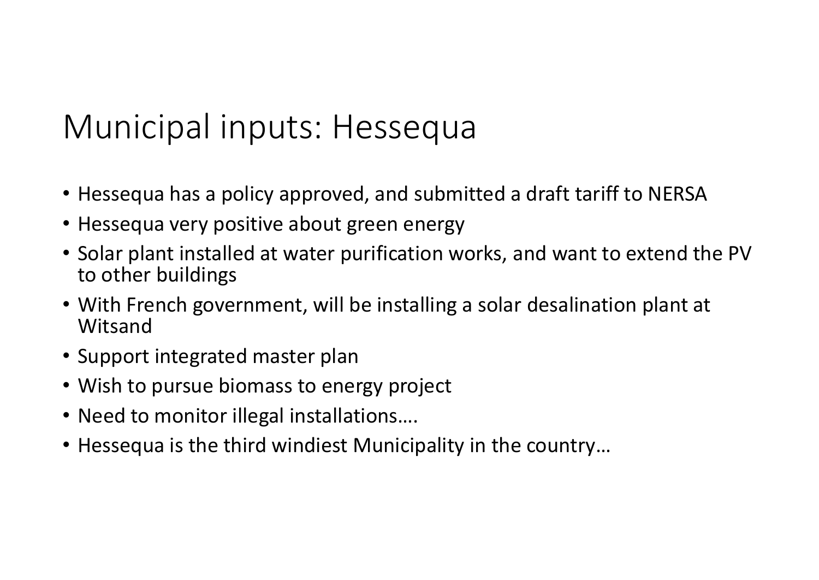## Municipal inputs: Hessequa

- Hessequa has a policy approved, and submitted a draft tariff to NERSA
- Hessequa very positive about green energy
- Solar plant installed at water purification works, and want to extend the PV to other buildings
- With French government, will be installing a solar desalination plant at **Witsand**
- Support integrated master plan
- Wish to pursue biomass to energy project
- Need to monitor illegal installations….
- Hessequa is the third windiest Municipality in the country…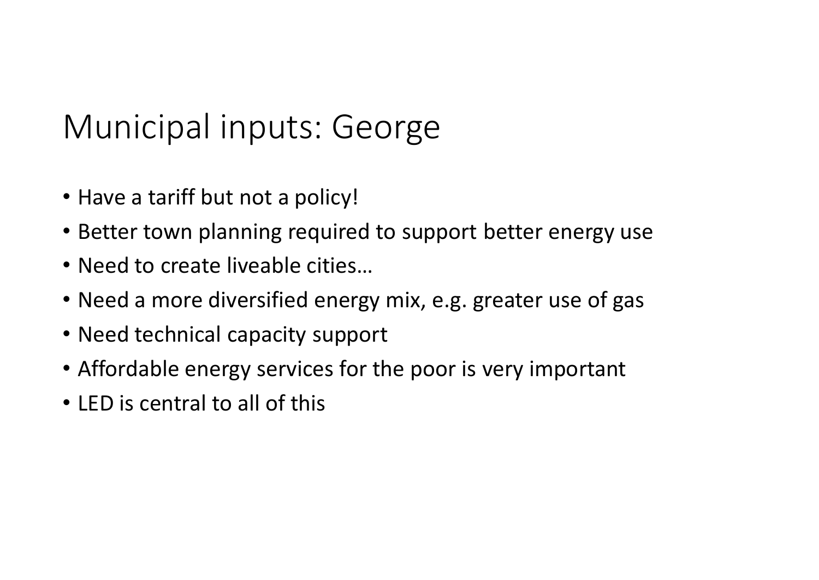## Municipal inputs: George

- Have a tariff but not a policy!
- Better town planning required to support better energy use
- Need to create liveable cities…
- Need a more diversified energy mix, e.g. greater use of gas
- Need technical capacity support
- Affordable energy services for the poor is very important
- LED is central to all of this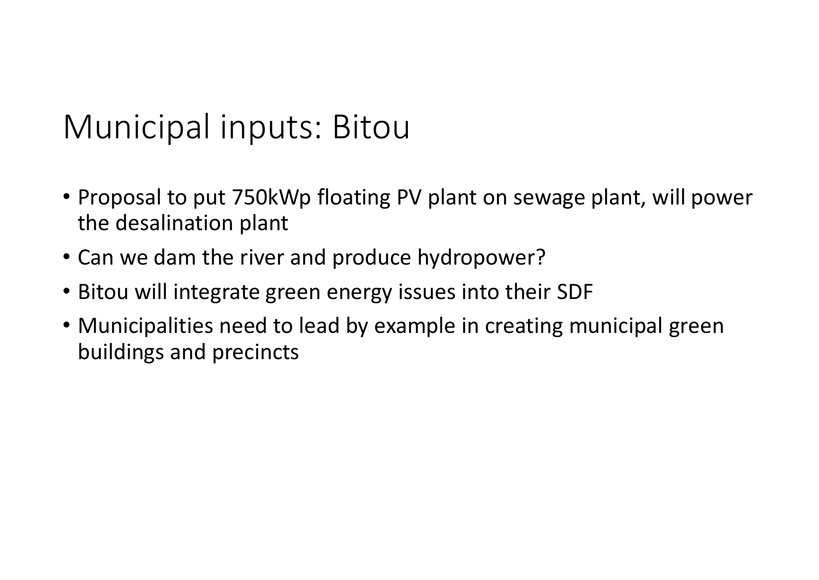#### Municipal inputs: Bitou

- Proposal to put 750kWp floating PV plant on sewage plant, will power the desalination plant
- Can we dam the river and produce hydropower?
- Bitou will integrate green energy issues into their SDF
- Municipalities need to lead by example in creating municipal green buildings and precincts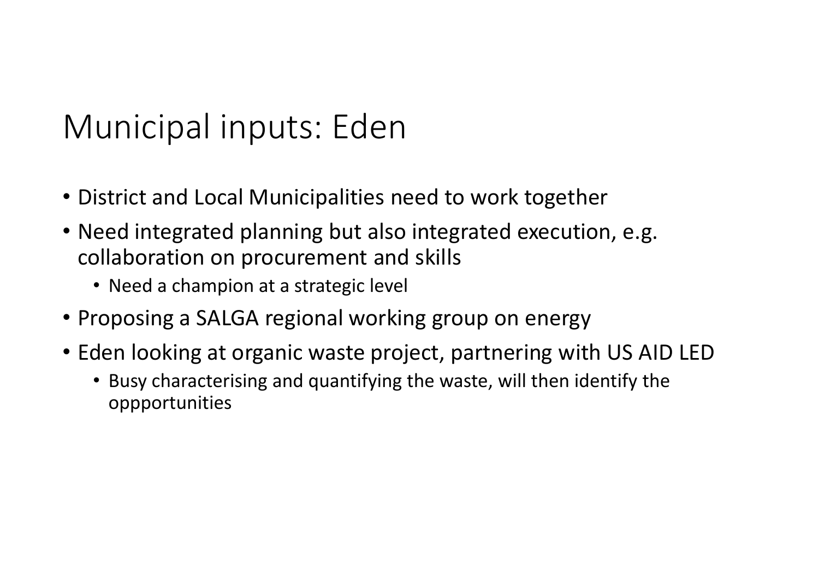## Municipal inputs: Eden

- District and Local Municipalities need to work together
- Need integrated planning but also integrated execution, e.g. collaboration on procurement and skills
	- Need a champion at a strategic level
- Proposing a SALGA regional working group on energy
- Eden looking at organic waste project, partnering with US AID LED
	- Busy characterising and quantifying the waste, will then identify the oppportunities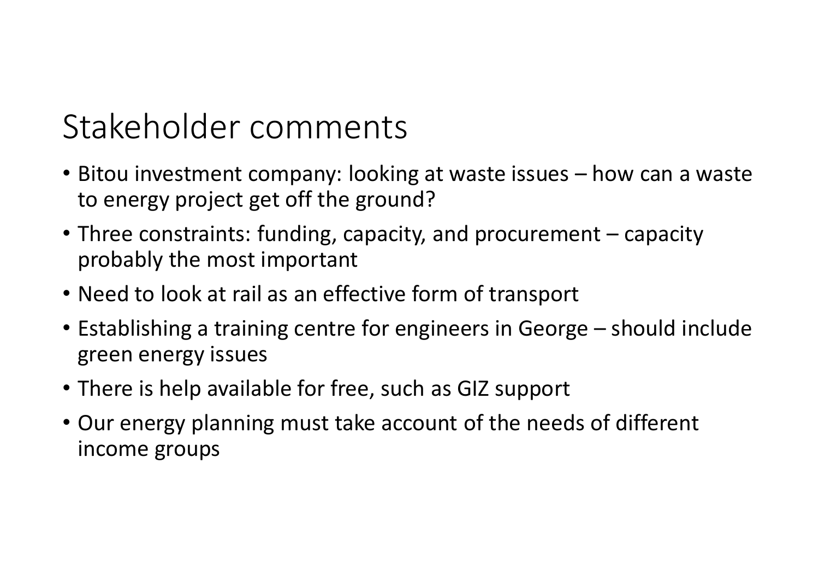#### Stakeholder comments

- Bitou investment company: looking at waste issues how can a waste to energy project get off the ground?
- Three constraints: funding, capacity, and procurement capacity probably the most important
- Need to look at rail as an effective form of transport
- Establishing a training centre for engineers in George should include green energy issues
- There is help available for free, such as GIZ support
- Our energy planning must take account of the needs of different income groups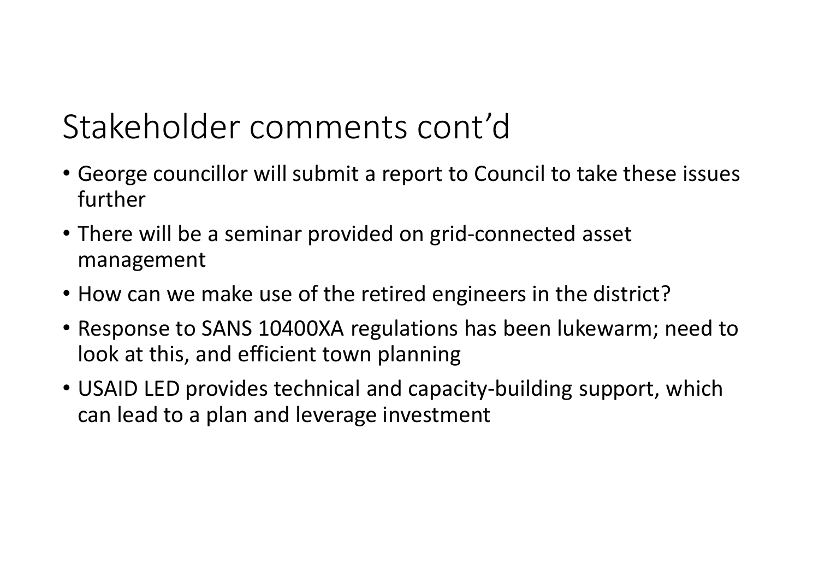## Stakeholder comments cont'd

- George councillor will submit a report to Council to take these issues further
- There will be a seminar provided on grid-connected asset management
- How can we make use of the retired engineers in the district?
- Response to SANS 10400XA regulations has been lukewarm; need to look at this, and efficient town planning
- USAID LED provides technical and capacity-building support, which can lead to a plan and leverage investment